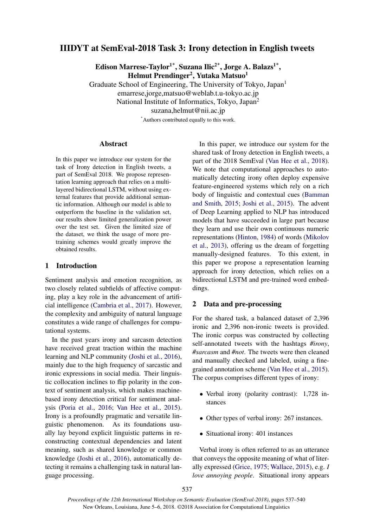# IIIDYT at SemEval-2018 Task 3: Irony detection in English tweets

Edison Marrese-Taylor $^{1*}$ , Suzana Ilic $^{2*}$ , Jorge A. Balazs $^{1*}$ , Helmut Prendinger<sup>2</sup>, Yutaka Matsuo<sup>1</sup>

Graduate School of Engineering, The University of Tokyo, Japan<sup>1</sup> emarrese,jorge,matsuo@weblab.t.u-tokyo.ac.jp National Institute of Informatics, Tokyo, Japan<sup>2</sup> suzana,helmut@nii.ac.jp \*Authors contributed equally to this work.

### Abstract

In this paper we introduce our system for the task of Irony detection in English tweets, a part of SemEval 2018. We propose representation learning approach that relies on a multilayered bidirectional LSTM, without using external features that provide additional semantic information. Although our model is able to outperform the baseline in the validation set, our results show limited generalization power over the test set. Given the limited size of the dataset, we think the usage of more pretraining schemes would greatly improve the obtained results.

### 1 Introduction

Sentiment analysis and emotion recognition, as two closely related subfields of affective computing, play a key role in the advancement of artificial intelligence (Cambria et al., 2017). However, the complexity and ambiguity of natural language constitutes a wide range of challenges for computational systems.

In the past years irony and sarcasm detection have received great traction within the machine learning and NLP community (Joshi et al., 2016), mainly due to the high frequency of sarcastic and ironic expressions in social media. Their linguistic collocation inclines to flip polarity in the context of sentiment analysis, which makes machinebased irony detection critical for sentiment analysis (Poria et al., 2016; Van Hee et al., 2015). Irony is a profoundly pragmatic and versatile linguistic phenomenon. As its foundations usually lay beyond explicit linguistic patterns in reconstructing contextual dependencies and latent meaning, such as shared knowledge or common knowledge (Joshi et al., 2016), automatically detecting it remains a challenging task in natural language processing.

In this paper, we introduce our system for the shared task of Irony detection in English tweets, a part of the 2018 SemEval (Van Hee et al., 2018). We note that computational approaches to automatically detecting irony often deploy expensive feature-engineered systems which rely on a rich body of linguistic and contextual cues (Bamman and Smith, 2015; Joshi et al., 2015). The advent of Deep Learning applied to NLP has introduced models that have succeeded in large part because they learn and use their own continuous numeric representations (Hinton, 1984) of words (Mikolov et al., 2013), offering us the dream of forgetting manually-designed features. To this extent, in this paper we propose a representation learning approach for irony detection, which relies on a bidirectional LSTM and pre-trained word embeddings.

## 2 Data and pre-processing

For the shared task, a balanced dataset of 2,396 ironic and 2,396 non-ironic tweets is provided. The ironic corpus was constructed by collecting self-annotated tweets with the hashtags *#irony*, *#sarcasm* and *#not*. The tweets were then cleaned and manually checked and labeled, using a finegrained annotation scheme (Van Hee et al., 2015). The corpus comprises different types of irony:

- Verbal irony (polarity contrast): 1,728 instances
- Other types of verbal irony: 267 instances.
- Situational irony: 401 instances

Verbal irony is often referred to as an utterance that conveys the opposite meaning of what of literally expressed (Grice, 1975; Wallace, 2015), e.g. *I love annoying people*. Situational irony appears

537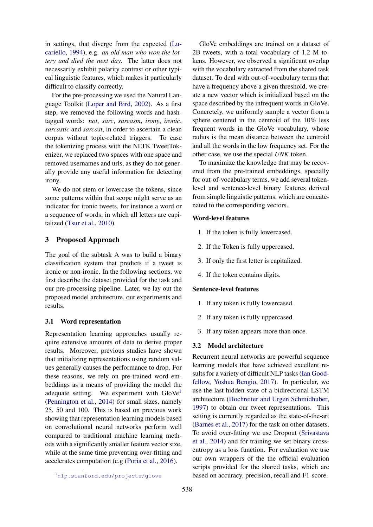in settings, that diverge from the expected (Lucariello, 1994), e.g. *an old man who won the lottery and died the next day*. The latter does not necessarily exhibit polarity contrast or other typical linguistic features, which makes it particularly difficult to classify correctly.

For the pre-processing we used the Natural Language Toolkit (Loper and Bird, 2002). As a first step, we removed the following words and hashtagged words: *not*, *sarc*, *sarcasm*, *irony*, *ironic*, *sarcastic* and *sarcast*, in order to ascertain a clean corpus without topic-related triggers. To ease the tokenizing process with the NLTK TweetTokenizer, we replaced two spaces with one space and removed usernames and urls, as they do not generally provide any useful information for detecting irony.

We do not stem or lowercase the tokens, since some patterns within that scope might serve as an indicator for ironic tweets, for instance a word or a sequence of words, in which all letters are capitalized (Tsur et al., 2010).

### 3 Proposed Approach

The goal of the subtask A was to build a binary classification system that predicts if a tweet is ironic or non-ironic. In the following sections, we first describe the dataset provided for the task and our pre-processing pipeline. Later, we lay out the proposed model architecture, our experiments and results.

### 3.1 Word representation

Representation learning approaches usually require extensive amounts of data to derive proper results. Moreover, previous studies have shown that initializing representations using random values generally causes the performance to drop. For these reasons, we rely on pre-trained word embeddings as a means of providing the model the adequate setting. We experiment with  $G$ loVe<sup>1</sup> (Pennington et al., 2014) for small sizes, namely 25, 50 and 100. This is based on previous work showing that representation learning models based on convolutional neural networks perform well compared to traditional machine learning methods with a significantly smaller feature vector size, while at the same time preventing over-fitting and accelerates computation (e.g (Poria et al., 2016).

GloVe embeddings are trained on a dataset of 2B tweets, with a total vocabulary of 1.2 M tokens. However, we observed a significant overlap with the vocabulary extracted from the shared task dataset. To deal with out-of-vocabulary terms that have a frequency above a given threshold, we create a new vector which is initialized based on the space described by the infrequent words in GloVe. Concretely, we uniformly sample a vector from a sphere centered in the centroid of the 10% less frequent words in the GloVe vocabulary, whose radius is the mean distance between the centroid and all the words in the low frequency set. For the other case, we use the special *UNK* token.

To maximize the knowledge that may be recovered from the pre-trained embeddings, specially for out-of-vocabulary terms, we add several tokenlevel and sentence-level binary features derived from simple linguistic patterns, which are concatenated to the corresponding vectors.

### Word-level features

- 1. If the token is fully lowercased.
- 2. If the Token is fully uppercased.
- 3. If only the first letter is capitalized.
- 4. If the token contains digits.

#### Sentence-level features

- 1. If any token is fully lowercased.
- 2. If any token is fully uppercased.
- 3. If any token appears more than once.

#### 3.2 Model architecture

Recurrent neural networks are powerful sequence learning models that have achieved excellent results for a variety of difficult NLP tasks (Ian Goodfellow, Yoshua Bengio, 2017). In particular, we use the last hidden state of a bidirectional LSTM architecture (Hochreiter and Urgen Schmidhuber, 1997) to obtain our tweet representations. This setting is currently regarded as the state-of-the-art (Barnes et al., 2017) for the task on other datasets. To avoid over-fitting we use Dropout (Srivastava et al., 2014) and for training we set binary crossentropy as a loss function. For evaluation we use our own wrappers of the the official evaluation scripts provided for the shared tasks, which are based on accuracy, precision, recall and F1-score.

<sup>1</sup>nlp.stanford.edu/projects/glove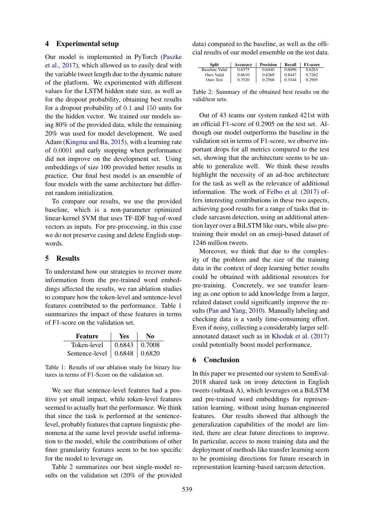#### 4 Experimental setup

Our model is implemented in PyTorch (Paszke et al., 2017), which allowed us to easily deal with the variable tweet length due to the dynamic nature of the platform. We experimented with different values for the LSTM hidden state size, as well as for the dropout probability, obtaining best results for a dropout probability of 0.1 and 150 units for the the hidden vector. We trained our models using 80% of the provided data, while the remaining 20% was used for model development. We used Adam (Kingma and Ba, 2015), with a learning rate of 0.0001 and early stopping when performance did not improve on the development set. Using embeddings of size 100 provided better results in practice. Our final best model is an ensemble of four models with the same architecture but different random initialization.

To compare our results, we use the provided baseline, which is a non-parameter optimized linear-kernel SVM that uses TF-IDF bag-of-word vectors as inputs. For pre-processing, in this case we do not preserve casing and delete English stopwords.

## 5 Results

To understand how our strategies to recover more information from the pre-trained word embeddings affected the results, we ran ablation studies to compare how the token-level and sentence-level features contributed to the performance. Table 1 summarizes the impact of these features in terms of F1-score on the validation set.

| Feature                              | Yes                               | No |
|--------------------------------------|-----------------------------------|----|
| Token-level                          | $\vert 0.6843 \vert 0.7008 \vert$ |    |
| Sentence-level   $0.6848$   $0.6820$ |                                   |    |

Table 1: Results of our ablation study for binary features in terms of F1-Score on the validation set.

We see that sentence-level features had a positive yet small impact, while token-level features seemed to actually hurt the performance. We think that since the task is performed at the sentencelevel, probably features that capture linguistic phenomena at the same level provide useful information to the model, while the contributions of other finer granularity features seem to be too specific for the model to leverage on.

Table 2 summarizes our best single-model results on the validation set (20% of the provided

data) compared to the baseline, as well as the official results of our model ensemble on the test data.

| <b>Split</b>   | Accuracy | Precision | Recall | F1-score |
|----------------|----------|-----------|--------|----------|
| Baseline Valid | 0.6375   | 0.6440    | 0.6096 | 0.6263   |
| Ours Valid     | 0.6610   | 0.6369    | 0.8447 | 0.7262   |
| Ours Test      | 0.3520   | 0.2568    | 0.3344 | 0.2905   |

Table 2: Summary of the obtained best results on the valid/test sets.

Out of 43 teams our system ranked 421st with an official F1-score of 0.2905 on the test set. Although our model outperforms the baseline in the validation set in terms of F1-score, we observe important drops for all metrics compared to the test set, showing that the architecture seems to be unable to generalize well. We think these results highlight the necessity of an ad-hoc architecture for the task as well as the relevance of additional information. The work of Felbo et al. (2017) offers interesting contributions in these two aspects, achieving good results for a range of tasks that include sarcasm detection, using an additional attention layer over a BiLSTM like ours, while also pretraining their model on an emoji-based dataset of 1246 million tweets.

Moreover, we think that due to the complexity of the problem and the size of the training data in the context of deep learning better results could be obtained with additional resources for pre-training. Concretely, we see transfer learning as one option to add knowledge from a larger, related dataset could significantly improve the results (Pan and Yang, 2010). Manually labeling and checking data is a vastly time-consuming effort. Even if noisy, collecting a considerably larger selfannotated dataset such as in Khodak et al. (2017) could potentially boost model performance.

#### 6 Conclusion

In this paper we presented our system to SemEval-2018 shared task on irony detection in English tweets (subtask A), which leverages on a BiLSTM and pre-trained word embeddings for representation learning, without using human-engineered features. Our results showed that although the generalization capabilities of the model are limited, there are clear future directions to improve. In particular, access to more training data and the deployment of methods like transfer learning seem to be promising directions for future research in representation learning-based sarcasm detection.